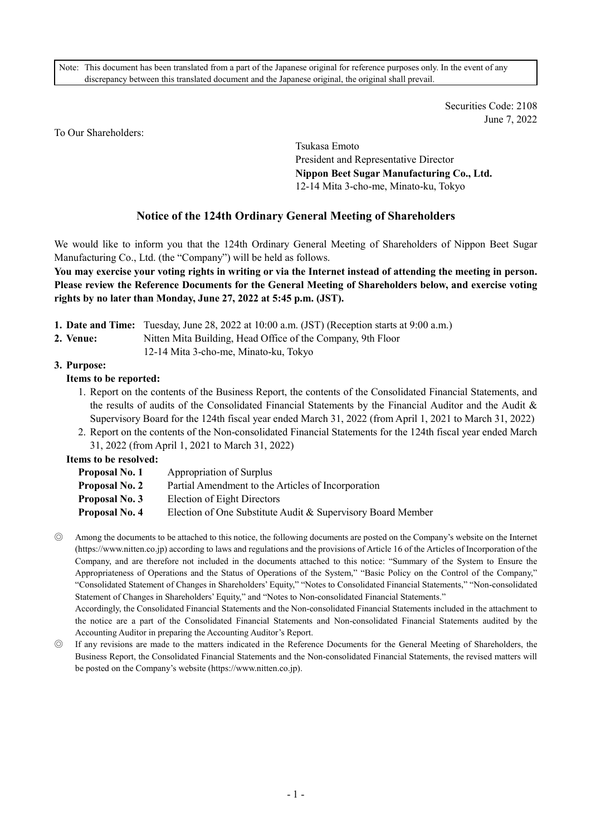Note: This document has been translated from a part of the Japanese original for reference purposes only. In the event of any discrepancy between this translated document and the Japanese original, the original shall prevail.

> Securities Code: 2108 June 7, 2022

To Our Shareholders:

Tsukasa Emoto President and Representative Director Nippon Beet Sugar Manufacturing Co., Ltd. 12-14 Mita 3-cho-me, Minato-ku, Tokyo

# Notice of the 124th Ordinary General Meeting of Shareholders

We would like to inform you that the 124th Ordinary General Meeting of Shareholders of Nippon Beet Sugar Manufacturing Co., Ltd. (the "Company") will be held as follows.

You may exercise your voting rights in writing or via the Internet instead of attending the meeting in person. Please review the Reference Documents for the General Meeting of Shareholders below, and exercise voting rights by no later than Monday, June 27, 2022 at 5:45 p.m. (JST).

- 1. Date and Time: Tuesday, June 28, 2022 at 10:00 a.m. (JST) (Reception starts at 9:00 a.m.)
- 2. Venue: Nitten Mita Building, Head Office of the Company, 9th Floor
	- 12-14 Mita 3-cho-me, Minato-ku, Tokyo

#### 3. Purpose:

#### Items to be reported:

- 1. Report on the contents of the Business Report, the contents of the Consolidated Financial Statements, and the results of audits of the Consolidated Financial Statements by the Financial Auditor and the Audit & Supervisory Board for the 124th fiscal year ended March 31, 2022 (from April 1, 2021 to March 31, 2022)
- 2. Report on the contents of the Non-consolidated Financial Statements for the 124th fiscal year ended March 31, 2022 (from April 1, 2021 to March 31, 2022)

Items to be resolved:

| <b>Proposal No. 1</b> | Appropriation of Surplus                                    |
|-----------------------|-------------------------------------------------------------|
| <b>Proposal No. 2</b> | Partial Amendment to the Articles of Incorporation          |
| Proposal No. 3        | Election of Eight Directors                                 |
| Proposal No. 4        | Election of One Substitute Audit & Supervisory Board Member |

◎ Among the documents to be attached to this notice, the following documents are posted on the Company's website on the Internet (https://www.nitten.co.jp) according to laws and regulations and the provisions of Article 16 of the Articles of Incorporation of the Company, and are therefore not included in the documents attached to this notice: "Summary of the System to Ensure the Appropriateness of Operations and the Status of Operations of the System," "Basic Policy on the Control of the Company," "Consolidated Statement of Changes in Shareholders' Equity," "Notes to Consolidated Financial Statements," "Non-consolidated Statement of Changes in Shareholders' Equity," and "Notes to Non-consolidated Financial Statements."

Accordingly, the Consolidated Financial Statements and the Non-consolidated Financial Statements included in the attachment to the notice are a part of the Consolidated Financial Statements and Non-consolidated Financial Statements audited by the Accounting Auditor in preparing the Accounting Auditor's Report.

◎ If any revisions are made to the matters indicated in the Reference Documents for the General Meeting of Shareholders, the Business Report, the Consolidated Financial Statements and the Non-consolidated Financial Statements, the revised matters will be posted on the Company's website (https://www.nitten.co.jp).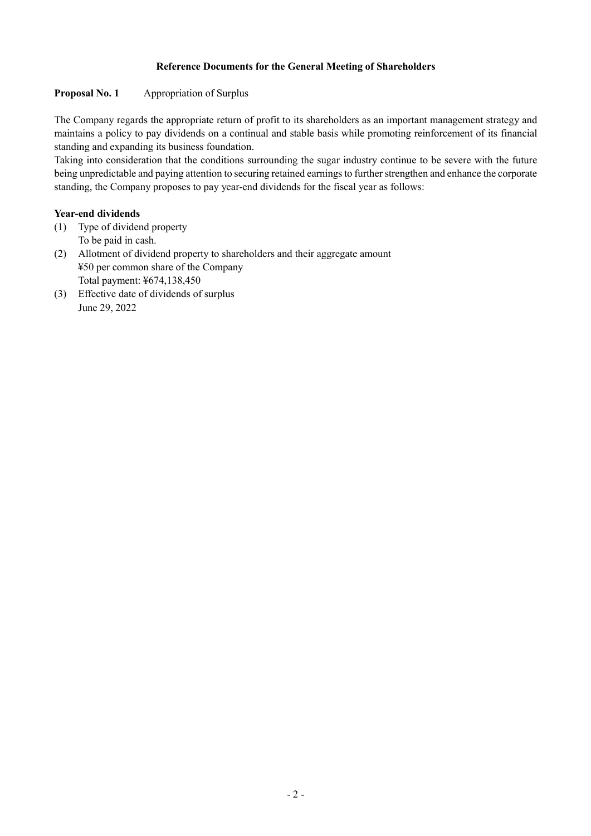# Reference Documents for the General Meeting of Shareholders

# Proposal No. 1 Appropriation of Surplus

The Company regards the appropriate return of profit to its shareholders as an important management strategy and maintains a policy to pay dividends on a continual and stable basis while promoting reinforcement of its financial standing and expanding its business foundation.

Taking into consideration that the conditions surrounding the sugar industry continue to be severe with the future being unpredictable and paying attention to securing retained earnings to further strengthen and enhance the corporate standing, the Company proposes to pay year-end dividends for the fiscal year as follows:

# Year-end dividends

- (1) Type of dividend property
	- To be paid in cash.
- (2) Allotment of dividend property to shareholders and their aggregate amount ¥50 per common share of the Company Total payment: ¥674,138,450
- (3) Effective date of dividends of surplus June 29, 2022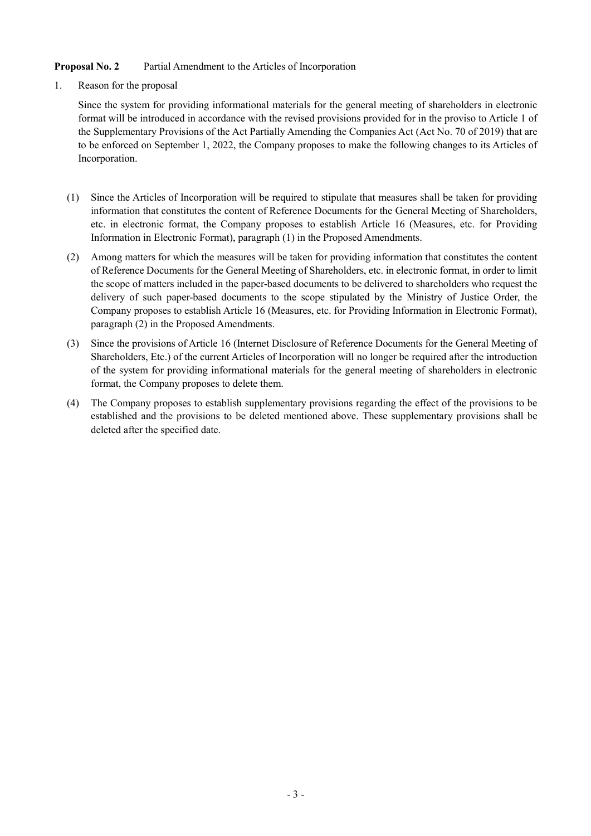# Proposal No. 2 Partial Amendment to the Articles of Incorporation

1. Reason for the proposal

Since the system for providing informational materials for the general meeting of shareholders in electronic format will be introduced in accordance with the revised provisions provided for in the proviso to Article 1 of the Supplementary Provisions of the Act Partially Amending the Companies Act (Act No. 70 of 2019) that are to be enforced on September 1, 2022, the Company proposes to make the following changes to its Articles of Incorporation.

- (1) Since the Articles of Incorporation will be required to stipulate that measures shall be taken for providing information that constitutes the content of Reference Documents for the General Meeting of Shareholders, etc. in electronic format, the Company proposes to establish Article 16 (Measures, etc. for Providing Information in Electronic Format), paragraph (1) in the Proposed Amendments.
- (2) Among matters for which the measures will be taken for providing information that constitutes the content of Reference Documents for the General Meeting of Shareholders, etc. in electronic format, in order to limit the scope of matters included in the paper-based documents to be delivered to shareholders who request the delivery of such paper-based documents to the scope stipulated by the Ministry of Justice Order, the Company proposes to establish Article 16 (Measures, etc. for Providing Information in Electronic Format), paragraph (2) in the Proposed Amendments.
- (3) Since the provisions of Article 16 (Internet Disclosure of Reference Documents for the General Meeting of Shareholders, Etc.) of the current Articles of Incorporation will no longer be required after the introduction of the system for providing informational materials for the general meeting of shareholders in electronic format, the Company proposes to delete them.
- (4) The Company proposes to establish supplementary provisions regarding the effect of the provisions to be established and the provisions to be deleted mentioned above. These supplementary provisions shall be deleted after the specified date.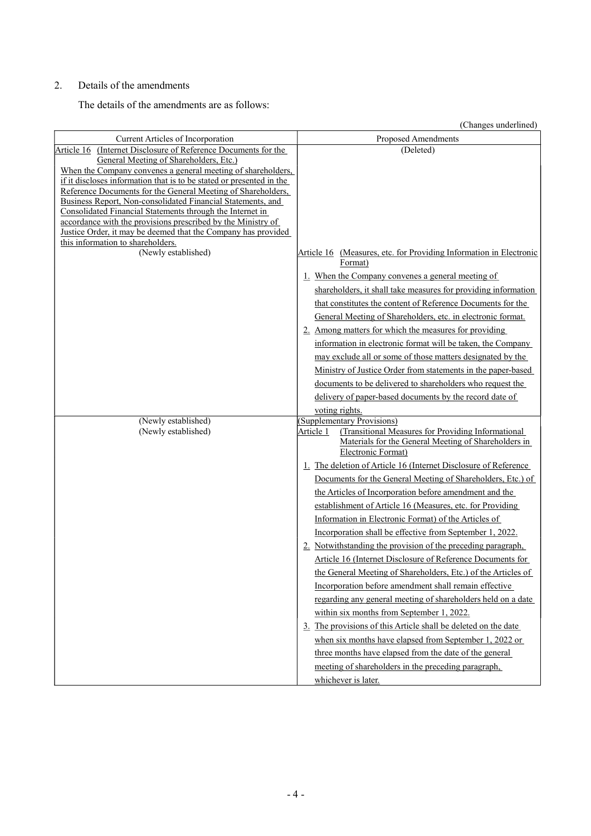# 2. Details of the amendments

The details of the amendments are as follows:

(Changes underlined)

| Current Articles of Incorporation                                                                                           | Proposed Amendments                                                                                                                                                         |
|-----------------------------------------------------------------------------------------------------------------------------|-----------------------------------------------------------------------------------------------------------------------------------------------------------------------------|
| (Internet Disclosure of Reference Documents for the<br>Article 16                                                           | (Deleted)                                                                                                                                                                   |
| General Meeting of Shareholders, Etc.)                                                                                      |                                                                                                                                                                             |
| When the Company convenes a general meeting of shareholders,                                                                |                                                                                                                                                                             |
| if it discloses information that is to be stated or presented in the                                                        |                                                                                                                                                                             |
| Reference Documents for the General Meeting of Shareholders,<br>Business Report, Non-consolidated Financial Statements, and |                                                                                                                                                                             |
| Consolidated Financial Statements through the Internet in                                                                   |                                                                                                                                                                             |
| accordance with the provisions prescribed by the Ministry of                                                                |                                                                                                                                                                             |
| Justice Order, it may be deemed that the Company has provided                                                               |                                                                                                                                                                             |
| this information to shareholders.                                                                                           |                                                                                                                                                                             |
| (Newly established)                                                                                                         | Article 16 (Measures, etc. for Providing Information in Electronic<br>Format)                                                                                               |
|                                                                                                                             | 1. When the Company convenes a general meeting of                                                                                                                           |
|                                                                                                                             | shareholders, it shall take measures for providing information                                                                                                              |
|                                                                                                                             | that constitutes the content of Reference Documents for the                                                                                                                 |
|                                                                                                                             | General Meeting of Shareholders, etc. in electronic format.                                                                                                                 |
|                                                                                                                             | 2. Among matters for which the measures for providing                                                                                                                       |
|                                                                                                                             | information in electronic format will be taken, the Company                                                                                                                 |
|                                                                                                                             | may exclude all or some of those matters designated by the                                                                                                                  |
|                                                                                                                             | Ministry of Justice Order from statements in the paper-based                                                                                                                |
|                                                                                                                             |                                                                                                                                                                             |
|                                                                                                                             | documents to be delivered to shareholders who request the                                                                                                                   |
|                                                                                                                             | delivery of paper-based documents by the record date of                                                                                                                     |
|                                                                                                                             | voting rights.                                                                                                                                                              |
| (Newly established)<br>(Newly established)                                                                                  | (Supplementary Provisions)<br>(Transitional Measures for Providing Informational<br>Article 1<br>Materials for the General Meeting of Shareholders in<br>Electronic Format) |
|                                                                                                                             | 1. The deletion of Article 16 (Internet Disclosure of Reference                                                                                                             |
|                                                                                                                             | Documents for the General Meeting of Shareholders, Etc.) of                                                                                                                 |
|                                                                                                                             | the Articles of Incorporation before amendment and the                                                                                                                      |
|                                                                                                                             | establishment of Article 16 (Measures, etc. for Providing                                                                                                                   |
|                                                                                                                             | Information in Electronic Format) of the Articles of                                                                                                                        |
|                                                                                                                             | Incorporation shall be effective from September 1, 2022.                                                                                                                    |
|                                                                                                                             | 2. Notwithstanding the provision of the preceding paragraph,                                                                                                                |
|                                                                                                                             |                                                                                                                                                                             |
|                                                                                                                             | Article 16 (Internet Disclosure of Reference Documents for                                                                                                                  |
|                                                                                                                             | the General Meeting of Shareholders, Etc.) of the Articles of                                                                                                               |
|                                                                                                                             | Incorporation before amendment shall remain effective                                                                                                                       |
|                                                                                                                             | regarding any general meeting of shareholders held on a date                                                                                                                |
|                                                                                                                             | within six months from September 1, 2022.                                                                                                                                   |
|                                                                                                                             | 3. The provisions of this Article shall be deleted on the date                                                                                                              |
|                                                                                                                             | when six months have elapsed from September 1, 2022 or                                                                                                                      |
|                                                                                                                             | three months have elapsed from the date of the general                                                                                                                      |
|                                                                                                                             | meeting of shareholders in the preceding paragraph,                                                                                                                         |
|                                                                                                                             | whichever is later.                                                                                                                                                         |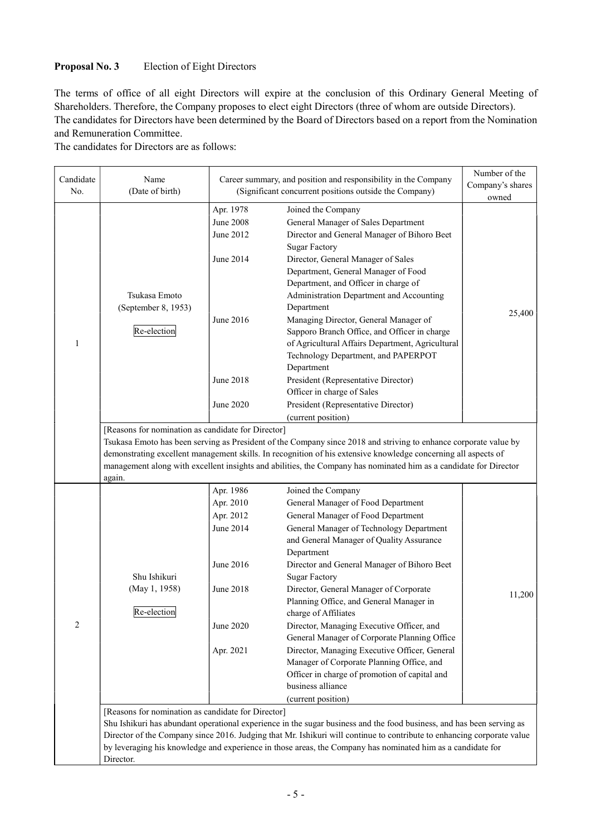# Proposal No. 3 Election of Eight Directors

The terms of office of all eight Directors will expire at the conclusion of this Ordinary General Meeting of Shareholders. Therefore, the Company proposes to elect eight Directors (three of whom are outside Directors). The candidates for Directors have been determined by the Board of Directors based on a report from the Nomination and Remuneration Committee.

The candidates for Directors are as follows:

| Candidate<br>No. | Name<br>(Date of birth)                                                                                                                                                                                                                                                                                                                                                                                                             | Career summary, and position and responsibility in the Company<br>(Significant concurrent positions outside the Company)<br>Apr. 1978<br>Joined the Company<br>General Manager of Sales Department<br>June 2012<br>Director and General Manager of Bihoro Beet<br><b>Sugar Factory</b><br>Director, General Manager of Sales<br>Department, General Manager of Food<br>Department, and Officer in charge of<br>Administration Department and Accounting<br>Department<br>June 2016<br>Managing Director, General Manager of<br>Sapporo Branch Office, and Officer in charge<br>of Agricultural Affairs Department, Agricultural |                                                                                                                                                                                                                                                                                                                                                                                                                                                                                                                                                                                                                                                                                 | Number of the<br>Company's shares<br>owned |  |  |  |
|------------------|-------------------------------------------------------------------------------------------------------------------------------------------------------------------------------------------------------------------------------------------------------------------------------------------------------------------------------------------------------------------------------------------------------------------------------------|---------------------------------------------------------------------------------------------------------------------------------------------------------------------------------------------------------------------------------------------------------------------------------------------------------------------------------------------------------------------------------------------------------------------------------------------------------------------------------------------------------------------------------------------------------------------------------------------------------------------------------|---------------------------------------------------------------------------------------------------------------------------------------------------------------------------------------------------------------------------------------------------------------------------------------------------------------------------------------------------------------------------------------------------------------------------------------------------------------------------------------------------------------------------------------------------------------------------------------------------------------------------------------------------------------------------------|--------------------------------------------|--|--|--|
| 1                | Tsukasa Emoto<br>(September 8, 1953)<br>Re-election<br>again.<br>Shu Ishikuri<br>(May 1, 1958)<br>Re-election                                                                                                                                                                                                                                                                                                                       | June 2008<br>June 2014<br>June 2018<br>June 2020                                                                                                                                                                                                                                                                                                                                                                                                                                                                                                                                                                                | Technology Department, and PAPERPOT<br>Department<br>President (Representative Director)<br>Officer in charge of Sales<br>President (Representative Director)                                                                                                                                                                                                                                                                                                                                                                                                                                                                                                                   | 25,400                                     |  |  |  |
|                  | (current position)<br>[Reasons for nomination as candidate for Director]<br>Tsukasa Emoto has been serving as President of the Company since 2018 and striving to enhance corporate value by<br>demonstrating excellent management skills. In recognition of his extensive knowledge concerning all aspects of<br>management along with excellent insights and abilities, the Company has nominated him as a candidate for Director |                                                                                                                                                                                                                                                                                                                                                                                                                                                                                                                                                                                                                                 |                                                                                                                                                                                                                                                                                                                                                                                                                                                                                                                                                                                                                                                                                 |                                            |  |  |  |
| 2                |                                                                                                                                                                                                                                                                                                                                                                                                                                     | Apr. 1986<br>Apr. 2010<br>Apr. 2012<br>June 2014<br>June 2016<br>June 2018<br>June 2020<br>Apr. 2021                                                                                                                                                                                                                                                                                                                                                                                                                                                                                                                            | Joined the Company<br>General Manager of Food Department<br>General Manager of Food Department<br>General Manager of Technology Department<br>and General Manager of Quality Assurance<br>Department<br>Director and General Manager of Bihoro Beet<br><b>Sugar Factory</b><br>Director, General Manager of Corporate<br>Planning Office, and General Manager in<br>charge of Affiliates<br>Director, Managing Executive Officer, and<br>General Manager of Corporate Planning Office<br>Director, Managing Executive Officer, General<br>Manager of Corporate Planning Office, and<br>Officer in charge of promotion of capital and<br>business alliance<br>(current position) | 11,200                                     |  |  |  |
|                  | [Reasons for nomination as candidate for Director]<br>Director.                                                                                                                                                                                                                                                                                                                                                                     |                                                                                                                                                                                                                                                                                                                                                                                                                                                                                                                                                                                                                                 | Shu Ishikuri has abundant operational experience in the sugar business and the food business, and has been serving as<br>Director of the Company since 2016. Judging that Mr. Ishikuri will continue to contribute to enhancing corporate value<br>by leveraging his knowledge and experience in those areas, the Company has nominated him as a candidate for                                                                                                                                                                                                                                                                                                                  |                                            |  |  |  |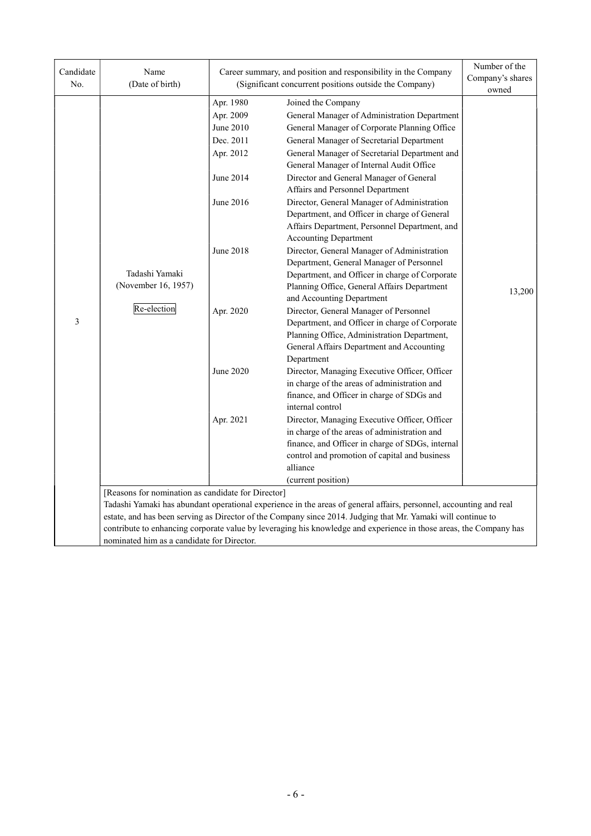| Candidate<br>No. | Name<br>(Date of birth)                                                                                                                                                                                                                                                                  |                                                                                                                                             | Career summary, and position and responsibility in the Company<br>(Significant concurrent positions outside the Company)                                                                                                                                                                                                                                                                                                                                                                                                                                                                                                                                                                                                                                                                                                                                                                                                                                                                                                                                                                                                                                                                                                                                                                                                                                              | Number of the<br>Company's shares<br>owned |  |
|------------------|------------------------------------------------------------------------------------------------------------------------------------------------------------------------------------------------------------------------------------------------------------------------------------------|---------------------------------------------------------------------------------------------------------------------------------------------|-----------------------------------------------------------------------------------------------------------------------------------------------------------------------------------------------------------------------------------------------------------------------------------------------------------------------------------------------------------------------------------------------------------------------------------------------------------------------------------------------------------------------------------------------------------------------------------------------------------------------------------------------------------------------------------------------------------------------------------------------------------------------------------------------------------------------------------------------------------------------------------------------------------------------------------------------------------------------------------------------------------------------------------------------------------------------------------------------------------------------------------------------------------------------------------------------------------------------------------------------------------------------------------------------------------------------------------------------------------------------|--------------------------------------------|--|
| 3                | Tadashi Yamaki<br>(November 16, 1957)<br>Re-election                                                                                                                                                                                                                                     | Apr. 1980<br>Apr. 2009<br>June 2010<br>Dec. 2011<br>Apr. 2012<br>June 2014<br>June 2016<br>June 2018<br>Apr. 2020<br>June 2020<br>Apr. 2021 | Joined the Company<br>General Manager of Administration Department<br>General Manager of Corporate Planning Office<br>General Manager of Secretarial Department<br>General Manager of Secretarial Department and<br>General Manager of Internal Audit Office<br>Director and General Manager of General<br>Affairs and Personnel Department<br>Director, General Manager of Administration<br>Department, and Officer in charge of General<br>Affairs Department, Personnel Department, and<br><b>Accounting Department</b><br>Director, General Manager of Administration<br>Department, General Manager of Personnel<br>Department, and Officer in charge of Corporate<br>Planning Office, General Affairs Department<br>and Accounting Department<br>Director, General Manager of Personnel<br>Department, and Officer in charge of Corporate<br>Planning Office, Administration Department,<br>General Affairs Department and Accounting<br>Department<br>Director, Managing Executive Officer, Officer<br>in charge of the areas of administration and<br>finance, and Officer in charge of SDGs and<br>internal control<br>Director, Managing Executive Officer, Officer<br>in charge of the areas of administration and<br>finance, and Officer in charge of SDGs, internal<br>control and promotion of capital and business<br>alliance<br>(current position) | 13,200                                     |  |
|                  | [Reasons for nomination as candidate for Director]<br>Tadashi Yamaki has abundant operational experience in the areas of general affairs, personnel, accounting and real<br>estate, and has been serving as Director of the Company since 2014. Judging that Mr. Yamaki will continue to |                                                                                                                                             |                                                                                                                                                                                                                                                                                                                                                                                                                                                                                                                                                                                                                                                                                                                                                                                                                                                                                                                                                                                                                                                                                                                                                                                                                                                                                                                                                                       |                                            |  |
|                  | nominated him as a candidate for Director.                                                                                                                                                                                                                                               |                                                                                                                                             | contribute to enhancing corporate value by leveraging his knowledge and experience in those areas, the Company has                                                                                                                                                                                                                                                                                                                                                                                                                                                                                                                                                                                                                                                                                                                                                                                                                                                                                                                                                                                                                                                                                                                                                                                                                                                    |                                            |  |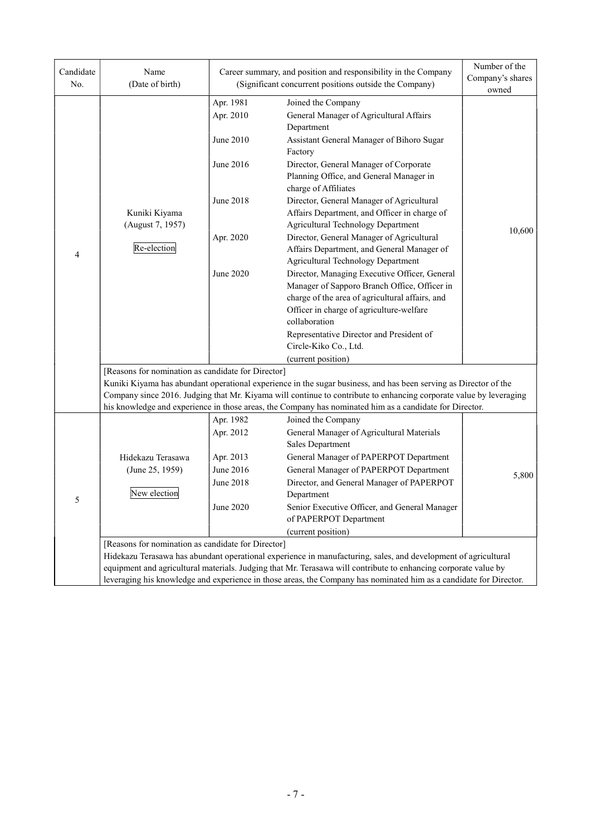| Candidate<br>No. | Name<br>(Date of birth)                            |                        | Career summary, and position and responsibility in the Company<br>(Significant concurrent positions outside the Company)        | Number of the<br>Company's shares |  |  |  |  |
|------------------|----------------------------------------------------|------------------------|---------------------------------------------------------------------------------------------------------------------------------|-----------------------------------|--|--|--|--|
|                  |                                                    |                        |                                                                                                                                 | owned                             |  |  |  |  |
|                  |                                                    | Apr. 1981<br>Apr. 2010 | Joined the Company<br>General Manager of Agricultural Affairs<br>Department                                                     |                                   |  |  |  |  |
| $\overline{4}$   |                                                    | June 2010              | Assistant General Manager of Bihoro Sugar<br>Factory                                                                            |                                   |  |  |  |  |
|                  |                                                    | June 2016              | Director, General Manager of Corporate<br>Planning Office, and General Manager in<br>charge of Affiliates                       |                                   |  |  |  |  |
|                  | Kuniki Kiyama<br>(August 7, 1957)                  | June 2018              | Director, General Manager of Agricultural<br>Affairs Department, and Officer in charge of<br>Agricultural Technology Department |                                   |  |  |  |  |
|                  | Re-election                                        | Apr. 2020              | Director, General Manager of Agricultural<br>Affairs Department, and General Manager of<br>Agricultural Technology Department   | 10,600                            |  |  |  |  |
|                  |                                                    | June 2020              | Director, Managing Executive Officer, General                                                                                   |                                   |  |  |  |  |
|                  |                                                    |                        | Manager of Sapporo Branch Office, Officer in                                                                                    |                                   |  |  |  |  |
|                  |                                                    |                        | charge of the area of agricultural affairs, and                                                                                 |                                   |  |  |  |  |
|                  |                                                    |                        | Officer in charge of agriculture-welfare                                                                                        |                                   |  |  |  |  |
|                  |                                                    |                        | collaboration                                                                                                                   |                                   |  |  |  |  |
|                  |                                                    |                        | Representative Director and President of                                                                                        |                                   |  |  |  |  |
|                  |                                                    |                        | Circle-Kiko Co., Ltd.                                                                                                           |                                   |  |  |  |  |
|                  |                                                    |                        | (current position)                                                                                                              |                                   |  |  |  |  |
|                  | [Reasons for nomination as candidate for Director] |                        |                                                                                                                                 |                                   |  |  |  |  |
|                  |                                                    |                        | Kuniki Kiyama has abundant operational experience in the sugar business, and has been serving as Director of the                |                                   |  |  |  |  |
|                  |                                                    |                        | Company since 2016. Judging that Mr. Kiyama will continue to contribute to enhancing corporate value by leveraging              |                                   |  |  |  |  |
|                  |                                                    | Apr. 1982              | his knowledge and experience in those areas, the Company has nominated him as a candidate for Director.                         |                                   |  |  |  |  |
|                  |                                                    | Apr. 2012              | Joined the Company<br>General Manager of Agricultural Materials                                                                 |                                   |  |  |  |  |
|                  |                                                    |                        | Sales Department                                                                                                                |                                   |  |  |  |  |
|                  | Hidekazu Terasawa                                  | Apr. 2013              | General Manager of PAPERPOT Department                                                                                          |                                   |  |  |  |  |
|                  | (June 25, 1959)                                    | June 2016              | General Manager of PAPERPOT Department                                                                                          |                                   |  |  |  |  |
|                  |                                                    | <b>June 2018</b>       | Director, and General Manager of PAPERPOT                                                                                       | 5,800                             |  |  |  |  |
|                  | New election                                       |                        | Department                                                                                                                      |                                   |  |  |  |  |
| 5                |                                                    | June 2020              | Senior Executive Officer, and General Manager<br>of PAPERPOT Department                                                         |                                   |  |  |  |  |
|                  |                                                    |                        | (current position)                                                                                                              |                                   |  |  |  |  |
|                  | [Reasons for nomination as candidate for Director] |                        |                                                                                                                                 |                                   |  |  |  |  |
|                  |                                                    |                        | Hidekazu Terasawa has abundant operational experience in manufacturing, sales, and development of agricultural                  |                                   |  |  |  |  |
|                  |                                                    |                        | equipment and agricultural materials. Judging that Mr. Terasawa will contribute to enhancing corporate value by                 |                                   |  |  |  |  |
|                  |                                                    |                        | leveraging his knowledge and experience in those areas, the Company has nominated him as a candidate for Director.              |                                   |  |  |  |  |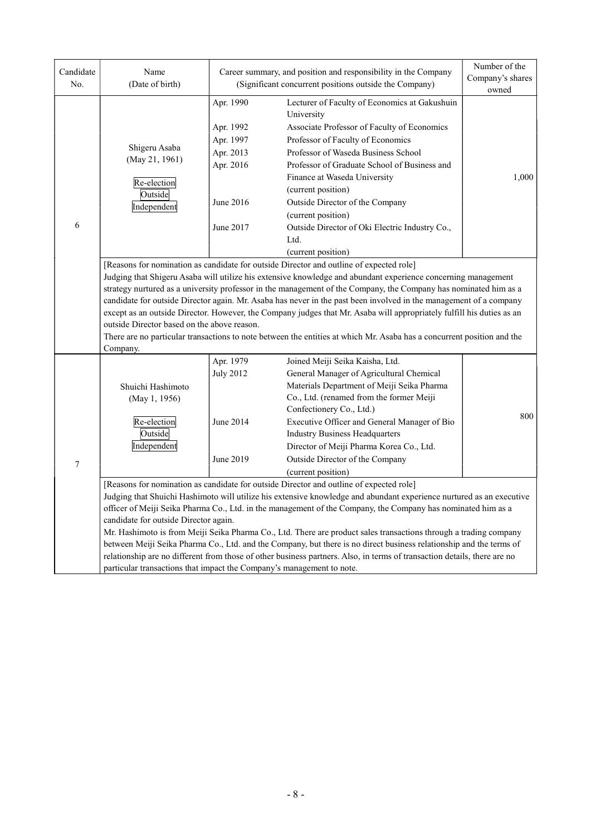| Candidate<br>No. | Name<br>(Date of birth)                                                                                                                                                                                                                                                                                                                                                                                                                                                                                                                                                                                                                                               |                                                                                         | Career summary, and position and responsibility in the Company<br>(Significant concurrent positions outside the Company)                                                                                                                                                                                                                                                                                                                                                                                                                                                                                                                                                                                | Number of the<br>Company's shares<br>owned |  |  |  |
|------------------|-----------------------------------------------------------------------------------------------------------------------------------------------------------------------------------------------------------------------------------------------------------------------------------------------------------------------------------------------------------------------------------------------------------------------------------------------------------------------------------------------------------------------------------------------------------------------------------------------------------------------------------------------------------------------|-----------------------------------------------------------------------------------------|---------------------------------------------------------------------------------------------------------------------------------------------------------------------------------------------------------------------------------------------------------------------------------------------------------------------------------------------------------------------------------------------------------------------------------------------------------------------------------------------------------------------------------------------------------------------------------------------------------------------------------------------------------------------------------------------------------|--------------------------------------------|--|--|--|
| 6                | Shigeru Asaba<br>(May 21, 1961)<br>Re-election<br>Outside<br>Independent                                                                                                                                                                                                                                                                                                                                                                                                                                                                                                                                                                                              | Apr. 1990<br>Apr. 1992<br>Apr. 1997<br>Apr. 2013<br>Apr. 2016<br>June 2016<br>June 2017 | Lecturer of Faculty of Economics at Gakushuin<br>University<br>Associate Professor of Faculty of Economics<br>Professor of Faculty of Economics<br>Professor of Waseda Business School<br>Professor of Graduate School of Business and<br>Finance at Waseda University<br>(current position)<br>Outside Director of the Company<br>(current position)<br>Outside Director of Oki Electric Industry Co.,<br>Ltd.<br>(current position)<br>[Reasons for nomination as candidate for outside Director and outline of expected role]                                                                                                                                                                        | 1,000                                      |  |  |  |
|                  | Judging that Shigeru Asaba will utilize his extensive knowledge and abundant experience concerning management<br>strategy nurtured as a university professor in the management of the Company, the Company has nominated him as a<br>candidate for outside Director again. Mr. Asaba has never in the past been involved in the management of a company<br>except as an outside Director. However, the Company judges that Mr. Asaba will appropriately fulfill his duties as an<br>outside Director based on the above reason.<br>There are no particular transactions to note between the entities at which Mr. Asaba has a concurrent position and the<br>Company. |                                                                                         |                                                                                                                                                                                                                                                                                                                                                                                                                                                                                                                                                                                                                                                                                                         |                                            |  |  |  |
| $\boldsymbol{7}$ | Shuichi Hashimoto<br>(May 1, 1956)<br>Re-election<br>Outside<br>Independent                                                                                                                                                                                                                                                                                                                                                                                                                                                                                                                                                                                           | Apr. 1979<br><b>July 2012</b><br>June 2014<br>June 2019                                 | Joined Meiji Seika Kaisha, Ltd.<br>General Manager of Agricultural Chemical<br>Materials Department of Meiji Seika Pharma<br>Co., Ltd. (renamed from the former Meiji<br>Confectionery Co., Ltd.)<br>Executive Officer and General Manager of Bio<br><b>Industry Business Headquarters</b><br>Director of Meiji Pharma Korea Co., Ltd.<br>Outside Director of the Company<br>(current position)                                                                                                                                                                                                                                                                                                         | 800                                        |  |  |  |
|                  | candidate for outside Director again.<br>particular transactions that impact the Company's management to note.                                                                                                                                                                                                                                                                                                                                                                                                                                                                                                                                                        |                                                                                         | [Reasons for nomination as candidate for outside Director and outline of expected role]<br>Judging that Shuichi Hashimoto will utilize his extensive knowledge and abundant experience nurtured as an executive<br>officer of Meiji Seika Pharma Co., Ltd. in the management of the Company, the Company has nominated him as a<br>Mr. Hashimoto is from Meiji Seika Pharma Co., Ltd. There are product sales transactions through a trading company<br>between Meiji Seika Pharma Co., Ltd. and the Company, but there is no direct business relationship and the terms of<br>relationship are no different from those of other business partners. Also, in terms of transaction details, there are no |                                            |  |  |  |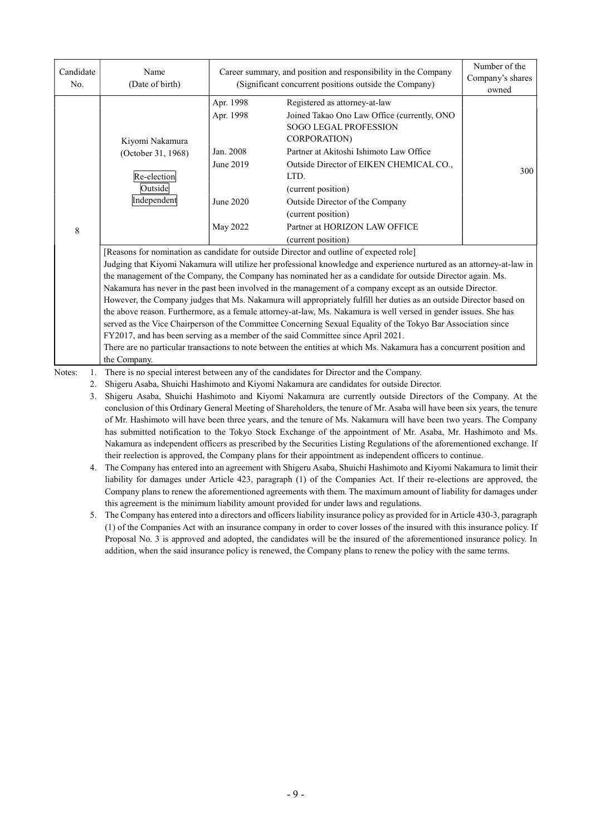| Candidate<br>No. | Name<br>(Date of birth)                                                                                                                                                                                                              |                        | Career summary, and position and responsibility in the Company<br>(Significant concurrent positions outside the Company)                                                                                                                                                                                                                                                                                                                                    | Number of the<br>Company's shares<br>owned |  |  |  |
|------------------|--------------------------------------------------------------------------------------------------------------------------------------------------------------------------------------------------------------------------------------|------------------------|-------------------------------------------------------------------------------------------------------------------------------------------------------------------------------------------------------------------------------------------------------------------------------------------------------------------------------------------------------------------------------------------------------------------------------------------------------------|--------------------------------------------|--|--|--|
|                  | Kiyomi Nakamura                                                                                                                                                                                                                      | Apr. 1998<br>Apr. 1998 | Registered as attorney-at-law<br>Joined Takao Ono Law Office (currently, ONO<br>SOGO LEGAL PROFESSION<br>CORPORATION)                                                                                                                                                                                                                                                                                                                                       |                                            |  |  |  |
|                  | (October 31, 1968)<br>Re-election<br>Outside                                                                                                                                                                                         | Jan. 2008<br>June 2019 | Partner at Akitoshi Ishimoto Law Office<br>Outside Director of EIKEN CHEMICAL CO.,<br>LTD.<br>(current position)                                                                                                                                                                                                                                                                                                                                            | 300                                        |  |  |  |
|                  | Independent                                                                                                                                                                                                                          | June 2020<br>May 2022  | Outside Director of the Company<br>(current position)<br>Partner at HORIZON LAW OFFICE                                                                                                                                                                                                                                                                                                                                                                      |                                            |  |  |  |
| 8                |                                                                                                                                                                                                                                      |                        | (current position)<br>[Reasons for nomination as candidate for outside Director and outline of expected role]                                                                                                                                                                                                                                                                                                                                               |                                            |  |  |  |
|                  | Judging that Kiyomi Nakamura will utilize her professional knowledge and experience nurtured as an attorney-at-law in<br>the management of the Company, the Company has nominated her as a candidate for outside Director again. Ms. |                        |                                                                                                                                                                                                                                                                                                                                                                                                                                                             |                                            |  |  |  |
|                  | Nakamura has never in the past been involved in the management of a company except as an outside Director.<br>However, the Company judges that Ms. Nakamura will appropriately fulfill her duties as an outside Director based on    |                        |                                                                                                                                                                                                                                                                                                                                                                                                                                                             |                                            |  |  |  |
|                  |                                                                                                                                                                                                                                      |                        | the above reason. Furthermore, as a female attorney-at-law, Ms. Nakamura is well versed in gender issues. She has<br>served as the Vice Chairperson of the Committee Concerning Sexual Equality of the Tokyo Bar Association since                                                                                                                                                                                                                          |                                            |  |  |  |
|                  | the Company.                                                                                                                                                                                                                         |                        | FY2017, and has been serving as a member of the said Committee since April 2021.<br>There are no particular transactions to note between the entities at which Ms. Nakamura has a concurrent position and                                                                                                                                                                                                                                                   |                                            |  |  |  |
| Notes:<br>1.     |                                                                                                                                                                                                                                      |                        | There is no special interest between any of the candidates for Director and the Company.                                                                                                                                                                                                                                                                                                                                                                    |                                            |  |  |  |
| 2.<br>3.         |                                                                                                                                                                                                                                      |                        | Shigeru Asaba, Shuichi Hashimoto and Kiyomi Nakamura are candidates for outside Director.<br>Shigeru Asaba, Shuichi Hashimoto and Kiyomi Nakamura are currently outside Directors of the Company. At the                                                                                                                                                                                                                                                    |                                            |  |  |  |
|                  |                                                                                                                                                                                                                                      |                        | conclusion of this Ordinary General Meeting of Shareholders, the tenure of Mr. Asaba will have been six years, the tenure<br>of Mr. Hashimoto will have been three years, and the tenure of Ms. Nakamura will have been two years. The Company                                                                                                                                                                                                              |                                            |  |  |  |
|                  |                                                                                                                                                                                                                                      |                        | has submitted notification to the Tokyo Stock Exchange of the appointment of Mr. Asaba, Mr. Hashimoto and Ms.<br>Nakamura as independent officers as prescribed by the Securities Listing Regulations of the aforementioned exchange. If<br>their reelection is approved, the Company plans for their appointment as independent officers to continue.                                                                                                      |                                            |  |  |  |
| 4.               |                                                                                                                                                                                                                                      |                        | The Company has entered into an agreement with Shigeru Asaba, Shuichi Hashimoto and Kiyomi Nakamura to limit their<br>liability for damages under Article 423, paragraph (1) of the Companies Act. If their re-elections are approved, the<br>Company plans to renew the aforementioned agreements with them. The maximum amount of liability for damages under                                                                                             |                                            |  |  |  |
|                  |                                                                                                                                                                                                                                      |                        | this agreement is the minimum liability amount provided for under laws and regulations.<br>$\mathbf{r}$ and $\mathbf{r}$ and $\mathbf{r}$ and $\mathbf{r}$<br>$\frac{1}{2}$ and $\frac{1}{2}$ are $\frac{1}{2}$ and $\frac{1}{2}$ are $\frac{1}{2}$ and $\frac{1}{2}$ are $\frac{1}{2}$ and $\frac{1}{2}$ are $\frac{1}{2}$ are $\frac{1}{2}$ and $\frac{1}{2}$ are $\frac{1}{2}$ are $\frac{1}{2}$ are $\frac{1}{2}$ are $\frac{1}{2}$ are $\frac{1}{2}$ a |                                            |  |  |  |

5. The Company has entered into a directors and officers liability insurance policy as provided for in Article 430-3, paragraph (1) of the Companies Act with an insurance company in order to cover losses of the insured with this insurance policy. If Proposal No. 3 is approved and adopted, the candidates will be the insured of the aforementioned insurance policy. In addition, when the said insurance policy is renewed, the Company plans to renew the policy with the same terms.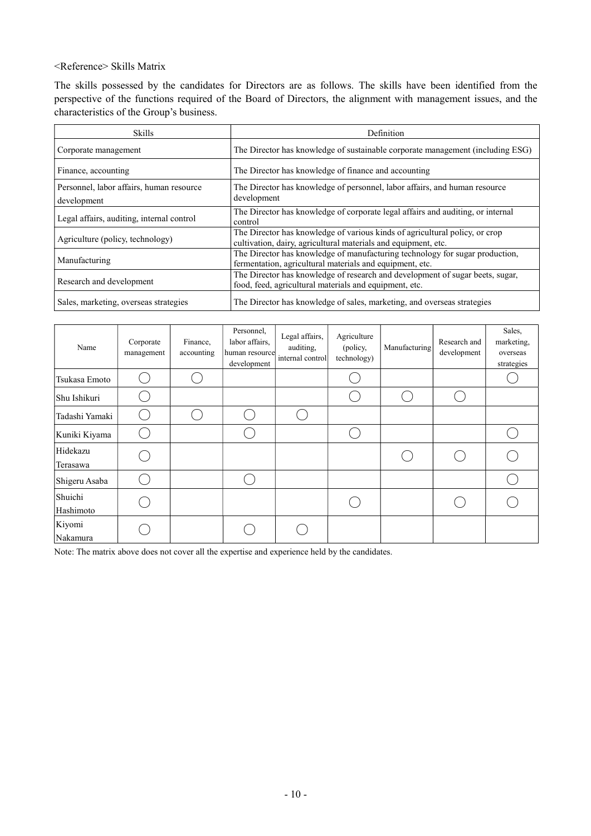<Reference> Skills Matrix

The skills possessed by the candidates for Directors are as follows. The skills have been identified from the perspective of the functions required of the Board of Directors, the alignment with management issues, and the characteristics of the Group's business.

| <b>Skills</b>                                           | Definition                                                                                                                                    |
|---------------------------------------------------------|-----------------------------------------------------------------------------------------------------------------------------------------------|
| Corporate management                                    | The Director has knowledge of sustainable corporate management (including ESG)                                                                |
| Finance, accounting                                     | The Director has knowledge of finance and accounting                                                                                          |
| Personnel, labor affairs, human resource<br>development | The Director has knowledge of personnel, labor affairs, and human resource<br>development                                                     |
| Legal affairs, auditing, internal control               | The Director has knowledge of corporate legal affairs and auditing, or internal<br>control                                                    |
| Agriculture (policy, technology)                        | The Director has knowledge of various kinds of agricultural policy, or crop<br>cultivation, dairy, agricultural materials and equipment, etc. |
| Manufacturing                                           | The Director has knowledge of manufacturing technology for sugar production,<br>fermentation, agricultural materials and equipment, etc.      |
| Research and development                                | The Director has knowledge of research and development of sugar beets, sugar,<br>food, feed, agricultural materials and equipment, etc.       |
| Sales, marketing, overseas strategies                   | The Director has knowledge of sales, marketing, and overseas strategies                                                                       |

| Name                 | Corporate<br>management | Finance,<br>accounting | Personnel,<br>labor affairs,<br>human resource<br>development | Legal affairs,<br>auditing,<br>internal control | Agriculture<br>(policy,<br>technology) | Manufacturing | Research and<br>development | Sales,<br>marketing,<br>overseas<br>strategies |
|----------------------|-------------------------|------------------------|---------------------------------------------------------------|-------------------------------------------------|----------------------------------------|---------------|-----------------------------|------------------------------------------------|
| Tsukasa Emoto        |                         |                        |                                                               |                                                 |                                        |               |                             |                                                |
| Shu Ishikuri         |                         |                        |                                                               |                                                 |                                        |               |                             |                                                |
| Tadashi Yamaki       |                         |                        |                                                               |                                                 |                                        |               |                             |                                                |
| Kuniki Kiyama        |                         |                        |                                                               |                                                 |                                        |               |                             |                                                |
| Hidekazu<br>Terasawa |                         |                        |                                                               |                                                 |                                        |               |                             |                                                |
| Shigeru Asaba        |                         |                        |                                                               |                                                 |                                        |               |                             |                                                |
| Shuichi<br>Hashimoto |                         |                        |                                                               |                                                 |                                        |               |                             |                                                |
| Kiyomi<br>Nakamura   |                         |                        |                                                               |                                                 |                                        |               |                             |                                                |

Note: The matrix above does not cover all the expertise and experience held by the candidates.